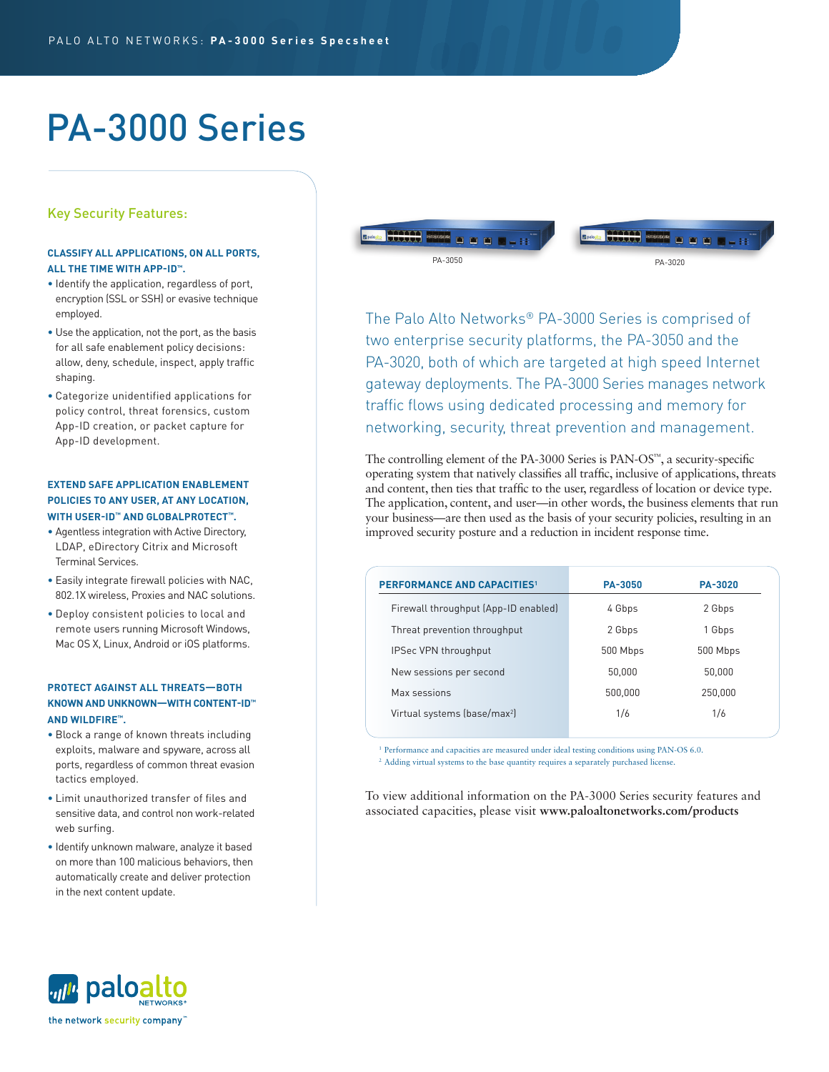# PA-3000 Series

# Key Security Features:

# **CLASSIFY ALL APPLICATIONS, ON ALL PORTS, ALL THE TIME WITH APP-ID™.**

- Identify the application, regardless of port, encryption (SSL or SSH) or evasive technique employed.
- Use the application, not the port, as the basis for all safe enablement policy decisions: allow, deny, schedule, inspect, apply traffic shaping.
- Categorize unidentified applications for policy control, threat forensics, custom App-ID creation, or packet capture for App-ID development.

# **EXTEND SAFE APPLICATION ENABLEMENT POLICIES TO ANY USER, AT ANY LOCATION, WITH USER-ID™ AND GLOBALPROTECT™.**

- Agentless integration with Active Directory, LDAP, eDirectory Citrix and Microsoft Terminal Services.
- Easily integrate firewall policies with NAC, 802.1X wireless, Proxies and NAC solutions.
- Deploy consistent policies to local and remote users running Microsoft Windows, Mac OS X, Linux, Android or iOS platforms.

# **PROTECT AGAINST ALL THREATS—BOTH KNOWN AND UNKNOWN—WITH CONTENT-ID™ AND WILDFIRE™.**

- Block a range of known threats including exploits, malware and spyware, across all ports, regardless of common threat evasion tactics employed.
- Limit unauthorized transfer of files and sensitive data, and control non work-related web surfing.
- Identify unknown malware, analyze it based on more than 100 malicious behaviors, then automatically create and deliver protection in the next content update.



The Palo Alto Networks® PA-3000 Series is comprised of two enterprise security platforms, the PA-3050 and the PA-3020, both of which are targeted at high speed Internet gateway deployments. The PA-3000 Series manages network traffic flows using dedicated processing and memory for networking, security, threat prevention and management.

The controlling element of the PA-3000 Series is PAN-OS™, a security-specific operating system that natively classifies all traffic, inclusive of applications, threats and content, then ties that traffic to the user, regardless of location or device type. The application, content, and user—in other words, the business elements that run your business—are then used as the basis of your security policies, resulting in an improved security posture and a reduction in incident response time.

| <b>PERFORMANCE AND CAPACITIES1</b>       | <b>PA-3050</b> | <b>PA-3020</b> |  |
|------------------------------------------|----------------|----------------|--|
| Firewall throughput (App-ID enabled)     | 4 Gbps         | 2 Gbps         |  |
| Threat prevention throughput             | 2 Gbps         | 1 Gbps         |  |
| IPSec VPN throughput                     | 500 Mbps       | 500 Mbps       |  |
| New sessions per second                  | 50.000         | 50,000         |  |
| Max sessions                             | 500.000        | 250,000        |  |
| Virtual systems (base/max <sup>2</sup> ) | 1/6            | 1/6            |  |
|                                          |                |                |  |

<sup>1</sup> Performance and capacities are measured under ideal testing conditions using PAN-OS 6.0. <sup>2</sup> Adding virtual systems to the base quantity requires a separately purchased license.

To view additional information on the PA-3000 Series security features and associated capacities, please visit **www.paloaltonetworks.com/products**